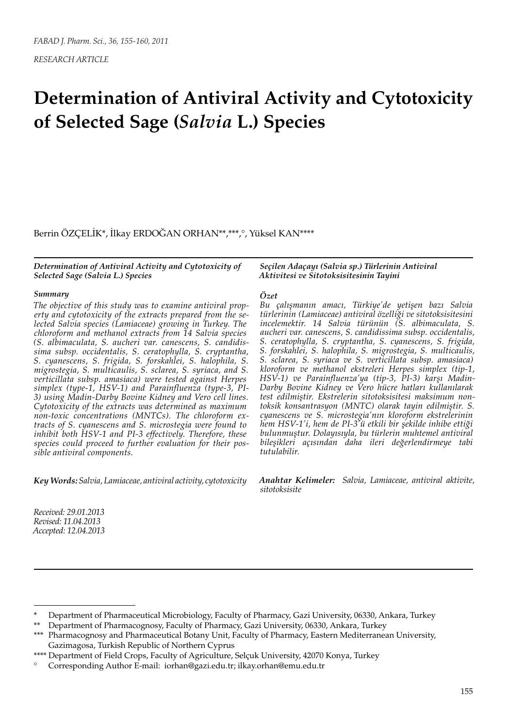# **Determination of Antiviral Activity and Cytotoxicity of Selected Sage (***Salvia* **L.) Species**

Berrin ÖZÇELİK\*, İlkay ERDOĞAN ORHAN\*\*,\*\*\*,°, Yüksel KAN\*\*\*\*

*Determination of Antiviral Activity and Cytotoxicity of Selected Sage (Salvia L.) Species*

#### *Summary*

*The objective of this study was to examine antiviral property and cytotoxicity of the extracts prepared from the selected Salvia species (Lamiaceae) growing in Turkey. The chloroform and methanol extracts from 14 Salvia species (S. albimaculata, S. aucheri var. canescens, S. candidissima subsp. occidentalis, S. ceratophylla, S. cryptantha, S. cyanescens, S. frigida, S. forskahlei, S. halophila, S. migrostegia, S. multicaulis, S. sclarea, S. syriaca, and S. verticillata subsp. amasiaca) were tested against Herpes simplex (type-1, HSV-1) and Parainfluenza (type-3, PI-3) using Madin-Darby Bovine Kidney and Vero cell lines. Cytotoxicity of the extracts was determined as maximum non-toxic concentrations (MNTCs). The chloroform extracts of S. cyanescens and S. microstegia were found to inhibit both HSV-1 and PI-3 effectively. Therefore, these species could proceed to further evaluation for their possible antiviral components.*

*Key Words: Salvia, Lamiaceae, antiviral activity, cytotoxicity*

*Received: 29.01.2013 Revised: 11.04.2013 Accepted: 12.04.2013*

#### *Seçilen Adaçayı (Salvia sp.) Türlerinin Antiviral Aktivitesi ve Sitotoksisitesinin Tayini*

#### *Özet*

*Bu çalışmanın amacı, Türkiye'de yetişen bazı Salvia türlerinin (Lamiaceae) antiviral özelliği ve sitotoksisitesini incelemektir. 14 Salvia türünün (S. albimaculata, S. aucheri var. canescens, S. candidissima subsp. occidentalis, S. ceratophylla, S. cryptantha, S. cyanescens, S. frigida, S. forskahlei, S. halophila, S. migrostegia, S. multicaulis, S. sclarea, S. syriaca ve S. verticillata subsp. amasiaca) kloroform ve methanol ekstreleri Herpes simplex (tip-1, HSV-1) ve Parainfluenza'ya (tip-3, PI-3) karşı Madin-Darby Bovine Kidney ve Vero hücre hatları kullanılarak test edilmiştir. Ekstrelerin sitotoksisitesi maksimum nontoksik konsantrasyon (MNTC) olarak tayin edilmiştir. S. cyanescens ve S. microstegia'nın kloroform ekstrelerinin hem HSV-1'i, hem de PI-3'ü etkili bir şekilde inhibe ettiği bulunmuştur. Dolayısıyla, bu türlerin muhtemel antiviral bileşikleri açısından daha ileri değerlendirmeye tabi tutulabilir.*

*Anahtar Kelimeler: Salvia, Lamiaceae, antiviral aktivite, sitotoksisite*

Department of Pharmaceutical Microbiology, Faculty of Pharmacy, Gazi University, 06330, Ankara, Turkey

Department of Pharmacognosy, Faculty of Pharmacy, Gazi University, 06330, Ankara, Turkey

<sup>\*\*\*</sup> Pharmacognosy and Pharmaceutical Botany Unit, Faculty of Pharmacy, Eastern Mediterranean University, Gazimagosa, Turkish Republic of Northern Cyprus

<sup>\*\*\*\*</sup> Department of Field Crops, Faculty of Agriculture, Selçuk University, 42070 Konya, Turkey

<sup>°</sup> Corresponding Author E-mail: iorhan@gazi.edu.tr; ilkay.orhan@emu.edu.tr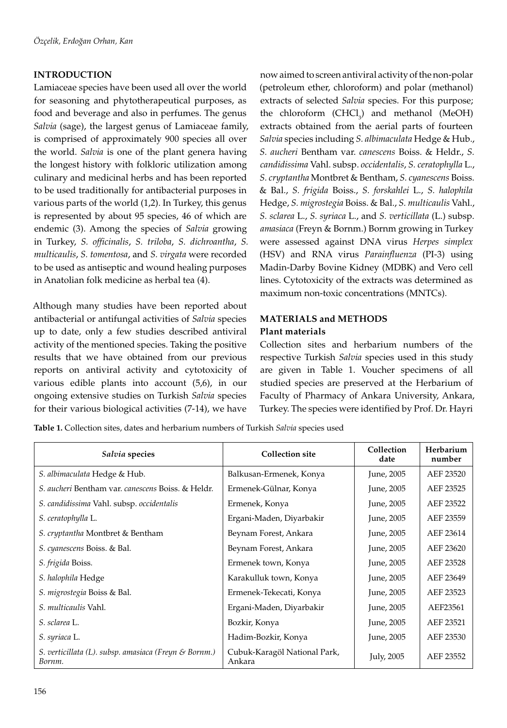# **INTRODUCTION**

Lamiaceae species have been used all over the world for seasoning and phytotherapeutical purposes, as food and beverage and also in perfumes. The genus *Salvia* (sage), the largest genus of Lamiaceae family, is comprised of approximately 900 species all over the world. *Salvia* is one of the plant genera having the longest history with folkloric utilization among culinary and medicinal herbs and has been reported to be used traditionally for antibacterial purposes in various parts of the world (1,2). In Turkey, this genus is represented by about 95 species, 46 of which are endemic (3). Among the species of *Salvia* growing in Turkey, *S. officinalis*, *S. triloba*, *S. dichroantha*, *S. multicaulis*, *S. tomentosa*, and *S. virgata* were recorded to be used as antiseptic and wound healing purposes in Anatolian folk medicine as herbal tea (4).

Although many studies have been reported about antibacterial or antifungal activities of *Salvia* species up to date, only a few studies described antiviral activity of the mentioned species. Taking the positive results that we have obtained from our previous reports on antiviral activity and cytotoxicity of various edible plants into account (5,6), in our ongoing extensive studies on Turkish *Salvia* species for their various biological activities (7-14), we have

now aimed to screen antiviral activity of the non-polar (petroleum ether, chloroform) and polar (methanol) extracts of selected *Salvia* species. For this purpose; the chloroform  $(CHCl<sub>3</sub>)$  and methanol (MeOH) extracts obtained from the aerial parts of fourteen *Salvia* species including *S. albimaculata* Hedge & Hub., *S. aucheri* Bentham var. *canescens* Boiss. & Heldr., *S. candidissima* Vahl. subsp. *occidentalis*, *S. ceratophylla* L., *S. cryptantha* Montbret & Bentham, *S. cyanescens* Boiss. & Bal., *S. frigida* Boiss., *S. forskahlei* L., *S. halophila*  Hedge, *S. migrostegia* Boiss. & Bal., *S. multicaulis* Vahl., *S. sclarea* L., *S. syriaca* L., and *S. verticillata* (L.) subsp. *amasiaca* (Freyn & Bornm.) Bornm growing in Turkey were assessed against DNA virus *Herpes simplex* (HSV) and RNA virus *Parainfluenza* (PI-3) using Madin-Darby Bovine Kidney (MDBK) and Vero cell lines. Cytotoxicity of the extracts was determined as maximum non-toxic concentrations (MNTCs).

# **MATERIALS and METHODS Plant materials**

Collection sites and herbarium numbers of the respective Turkish *Salvia* species used in this study are given in Table 1. Voucher specimens of all studied species are preserved at the Herbarium of Faculty of Pharmacy of Ankara University, Ankara, Turkey. The species were identified by Prof. Dr. Hayri

**Table 1.** Collection sites, dates and herbarium numbers of Turkish *Salvia* species used

| Salvia species                                                  | <b>Collection site</b>                 | Collection<br>date | Herbarium<br>number |
|-----------------------------------------------------------------|----------------------------------------|--------------------|---------------------|
| S. albimaculata Hedge & Hub.                                    | Balkusan-Ermenek, Konya                | June, 2005         | AEF 23520           |
| S. aucheri Bentham var. canescens Boiss. & Heldr.               | Ermenek-Gülnar, Konya                  | June, 2005         | AEF 23525           |
| S. candidissima Vahl. subsp. occidentalis                       | Ermenek, Konya                         | June, 2005         | AEF 23522           |
| S. ceratophylla L.                                              | Ergani-Maden, Diyarbakir               | June, 2005         | AEF 23559           |
| S. cryptantha Montbret & Bentham                                | Beynam Forest, Ankara                  | June, 2005         | AEF 23614           |
| S. cyanescens Boiss. & Bal.                                     | Beynam Forest, Ankara                  | June, 2005         | AEF 23620           |
| S. frigida Boiss.                                               | Ermenek town, Konya                    | June, 2005         | AEF 23528           |
| S. halophila Hedge                                              | Karakulluk town, Konya                 | June, 2005         | AEF 23649           |
| S. migrostegia Boiss & Bal.                                     | Ermenek-Tekecati, Konya                | June, 2005         | AEF 23523           |
| <i>S. multicaulis</i> Vahl.                                     | Ergani-Maden, Diyarbakir               | June, 2005         | AEF23561            |
| S. sclarea L.                                                   | Bozkir, Konya                          | June, 2005         | AEF 23521           |
| S. syriaca L.                                                   | Hadim-Bozkir, Konya                    | June, 2005         | AEF 23530           |
| S. verticillata (L). subsp. amasiaca (Freyn & Bornm.)<br>Bornm. | Cubuk-Karagöl National Park,<br>Ankara | July, 2005         | AEF 23552           |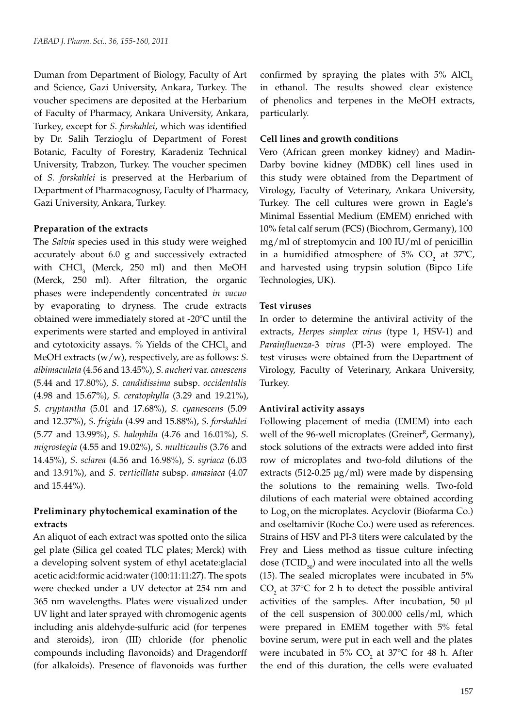Duman from Department of Biology, Faculty of Art and Science, Gazi University, Ankara, Turkey. The voucher specimens are deposited at the Herbarium of Faculty of Pharmacy, Ankara University, Ankara, Turkey, except for *S. forskahlei*, which was identified by Dr. Salih Terzioglu of Department of Forest Botanic, Faculty of Forestry, Karadeniz Technical University, Trabzon, Turkey. The voucher specimen of *S. forskahlei* is preserved at the Herbarium of Department of Pharmacognosy, Faculty of Pharmacy, Gazi University, Ankara, Turkey.

#### **Preparation of the extracts**

The *Salvia* species used in this study were weighed accurately about 6.0 g and successively extracted with  $CHCl<sub>3</sub>$  (Merck, 250 ml) and then MeOH (Merck, 250 ml). After filtration, the organic phases were independently concentrated *in vacuo* by evaporating to dryness. The crude extracts obtained were immediately stored at -20ºC until the experiments were started and employed in antiviral and cytotoxicity assays.  $\%$  Yields of the CHCl<sub>3</sub> and MeOH extracts (w/w), respectively, are as follows: *S. albimaculata* (4.56 and 13.45%), *S. aucheri* var. *canescens*  (5.44 and 17.80%), *S. candidissima* subsp. *occidentalis*  (4.98 and 15.67%), *S. ceratophylla* (3.29 and 19.21%), *S. cryptantha* (5.01 and 17.68%), *S. cyanescens* (5.09 and 12.37%), *S. frigida* (4.99 and 15.88%), *S. forskahlei*  (5.77 and 13.99%), *S. halophila* (4.76 and 16.01%), *S. migrostegia* (4.55 and 19.02%), *S. multicaulis* (3.76 and 14.45%), *S. sclarea* (4.56 and 16.98%), *S. syriaca* (6.03 and 13.91%), and *S. verticillata* subsp. *amasiaca* (4.07 and 15.44%).

# **Preliminary phytochemical examination of the extracts**

An aliquot of each extract was spotted onto the silica gel plate (Silica gel coated TLC plates; Merck) with a developing solvent system of ethyl acetate:glacial acetic acid:formic acid:water (100:11:11:27). The spots were checked under a UV detector at 254 nm and 365 nm wavelengths. Plates were visualized under UV light and later sprayed with chromogenic agents including anis aldehyde-sulfuric acid (for terpenes and steroids), iron (III) chloride (for phenolic compounds including flavonoids) and Dragendorff (for alkaloids). Presence of flavonoids was further

confirmed by spraying the plates with  $5\%$  AlCl<sub>3</sub> in ethanol. The results showed clear existence of phenolics and terpenes in the MeOH extracts, particularly.

#### **Cell lines and growth conditions**

Vero (African green monkey kidney) and Madin-Darby bovine kidney (MDBK) cell lines used in this study were obtained from the Department of Virology, Faculty of Veterinary, Ankara University, Turkey. The cell cultures were grown in Eagle's Minimal Essential Medium (EMEM) enriched with 10% fetal calf serum (FCS) (Biochrom, Germany), 100 mg/ml of streptomycin and 100 IU/ml of penicillin in a humidified atmosphere of 5%  $CO<sub>2</sub>$  at 37°C, and harvested using trypsin solution (Bipco Life Technologies, UK).

## **Test viruses**

In order to determine the antiviral activity of the extracts, *Herpes simplex virus* (type 1, HSV-1) and *Parainfluenza-*3 *virus* (PI-3) were employed. The test viruses were obtained from the Department of Virology, Faculty of Veterinary, Ankara University, Turkey.

#### **Antiviral activity assays**

Following placement of media (EMEM) into each well of the 96-well microplates (Greiner<sup>R</sup>, Germany), stock solutions of the extracts were added into first row of microplates and two-fold dilutions of the extracts (512-0.25 µg/ml) were made by dispensing the solutions to the remaining wells. Two-fold dilutions of each material were obtained according to Log<sub>2</sub> on the microplates. Acyclovir (Biofarma Co.) and oseltamivir (Roche Co.) were used as references. Strains of HSV and PI-3 titers were calculated by the Frey and Liess method as tissue culture infecting dose (TCID $_{50}$ ) and were inoculated into all the wells (15). The sealed microplates were incubated in 5%  $CO<sub>2</sub>$  at 37°C for 2 h to detect the possible antiviral activities of the samples. After incubation, 50 µl of the cell suspension of 300.000 cells/ml, which were prepared in EMEM together with 5% fetal bovine serum, were put in each well and the plates were incubated in 5%  $CO<sub>2</sub>$  at 37°C for 48 h. After the end of this duration, the cells were evaluated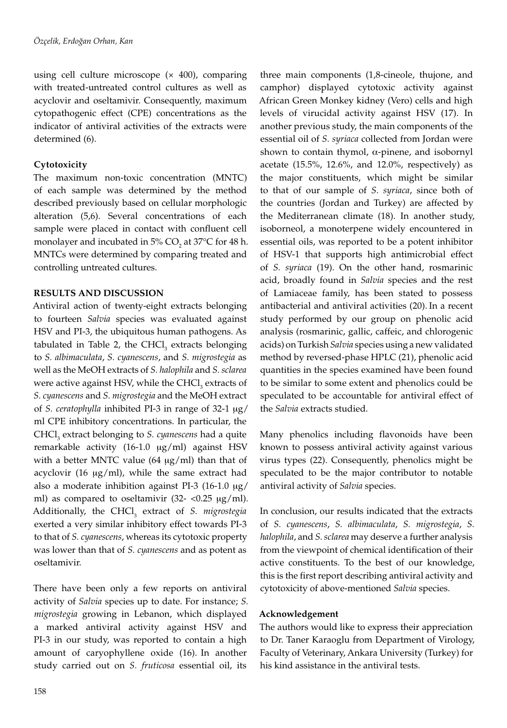using cell culture microscope  $(x 400)$ , comparing with treated-untreated control cultures as well as acyclovir and oseltamivir. Consequently, maximum cytopathogenic effect (CPE) concentrations as the indicator of antiviral activities of the extracts were determined (6).

# **Cytotoxicity**

The maximum non-toxic concentration (MNTC) of each sample was determined by the method described previously based on cellular morphologic alteration (5,6). Several concentrations of each sample were placed in contact with confluent cell monolayer and incubated in 5%  $CO<sub>2</sub>$  at 37°C for 48 h. MNTCs were determined by comparing treated and controlling untreated cultures.

## **RESULTS AND DISCUSSION**

Antiviral action of twenty-eight extracts belonging to fourteen *Salvia* species was evaluated against HSV and PI-3, the ubiquitous human pathogens. As tabulated in Table 2, the  $CHCl<sub>3</sub>$  extracts belonging to *S. albimaculata*, *S. cyanescens*, and *S. migrostegia* as well as the MeOH extracts of *S. halophila* and *S. sclarea* were active against HSV, while the  $CHCl<sub>3</sub>$  extracts of *S. cyanescens* and *S. migrostegia* and the MeOH extract of *S. ceratophylla* inhibited PI-3 in range of 32-1 mg/ ml CPE inhibitory concentrations. In particular, the CHCl<sub>3</sub> extract belonging to *S. cyanescens* had a quite remarkable activity (16-1.0 mg/ml) against HSV with a better MNTC value  $(64 \text{ µg/ml})$  than that of acyclovir (16  $\mu$ g/ml), while the same extract had also a moderate inhibition against PI-3 (16-1.0  $\mu$ g/ ml) as compared to oseltamivir (32- $\langle 0.25 \ \mu g/ml$ ). Additionally, the CHCl<sub>3</sub> extract of *S. migrostegia* exerted a very similar inhibitory effect towards PI-3 to that of *S. cyanescens*, whereas its cytotoxic property was lower than that of *S. cyanescens* and as potent as oseltamivir.

There have been only a few reports on antiviral activity of *Salvia* species up to date. For instance; *S. migrostegia* growing in Lebanon, which displayed a marked antiviral activity against HSV and PI-3 in our study, was reported to contain a high amount of caryophyllene oxide (16). In another study carried out on *S. fruticosa* essential oil, its

three main components (1,8-cineole, thujone, and camphor) displayed cytotoxic activity against African Green Monkey kidney (Vero) cells and high levels of virucidal activity against HSV (17). In another previous study, the main components of the essential oil of *S. syriaca* collected from Jordan were shown to contain thymol,  $\alpha$ -pinene, and isobornyl acetate  $(15.5\%, 12.6\%, \text{ and } 12.0\%, \text{ respectively})$  as the major constituents, which might be similar to that of our sample of *S. syriaca*, since both of the countries (Jordan and Turkey) are affected by the Mediterranean climate (18). In another study, isoborneol, a monoterpene widely encountered in essential oils, was reported to be a potent inhibitor of HSV-1 that supports high antimicrobial effect of *S. syriaca* (19). On the other hand, rosmarinic acid, broadly found in *Salvia* species and the rest of Lamiaceae family, has been stated to possess antibacterial and antiviral activities (20). In a recent study performed by our group on phenolic acid analysis (rosmarinic, gallic, caffeic, and chlorogenic acids) on Turkish *Salvia* species using a new validated method by reversed-phase HPLC (21), phenolic acid quantities in the species examined have been found to be similar to some extent and phenolics could be speculated to be accountable for antiviral effect of the *Salvia* extracts studied.

Many phenolics including flavonoids have been known to possess antiviral activity against various virus types (22). Consequently, phenolics might be speculated to be the major contributor to notable antiviral activity of *Salvia* species.

In conclusion, our results indicated that the extracts of *S. cyanescens*, *S. albimaculata*, *S. migrostegia*, *S. halophila*, and *S. sclarea* may deserve a further analysis from the viewpoint of chemical identification of their active constituents. To the best of our knowledge, this is the first report describing antiviral activity and cytotoxicity of above-mentioned *Salvia* species.

## **Acknowledgement**

The authors would like to express their appreciation to Dr. Taner Karaoglu from Department of Virology, Faculty of Veterinary, Ankara University (Turkey) for his kind assistance in the antiviral tests.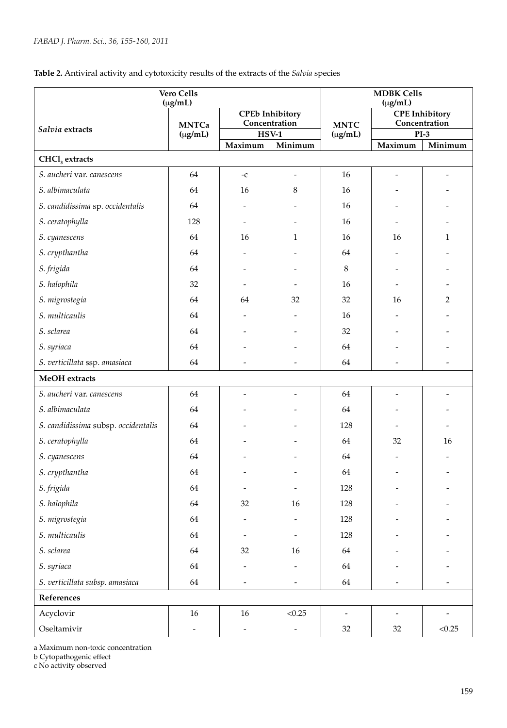| Table 2. Antiviral activity and cytotoxicity results of the extracts of the Salvia species |  |  |  |  |  |
|--------------------------------------------------------------------------------------------|--|--|--|--|--|
|--------------------------------------------------------------------------------------------|--|--|--|--|--|

| <b>Vero Cells</b><br>$(\mu g/mL)$   |                              |                                         |                          |                             | <b>MDBK Cells</b><br>$(\mu g/mL)$      |                          |  |  |  |  |
|-------------------------------------|------------------------------|-----------------------------------------|--------------------------|-----------------------------|----------------------------------------|--------------------------|--|--|--|--|
|                                     | <b>MNTCa</b><br>$(\mu g/mL)$ | <b>CPEb Inhibitory</b><br>Concentration |                          | <b>MNTC</b><br>$(\mu g/mL)$ | <b>CPE</b> Inhibitory<br>Concentration |                          |  |  |  |  |
| Salvia extracts                     |                              | $HSV-1$                                 |                          |                             | $PI-3$                                 |                          |  |  |  |  |
|                                     |                              | Maximum                                 | Minimum                  |                             | Maximum                                | Minimum                  |  |  |  |  |
| CHCl <sub>3</sub> extracts          |                              |                                         |                          |                             |                                        |                          |  |  |  |  |
| S. aucheri var. canescens           | 64                           | $\mathord{\text{--c}}$                  | $\overline{\phantom{a}}$ | 16                          | $\overline{\phantom{a}}$               | $\overline{\phantom{0}}$ |  |  |  |  |
| S. albimaculata                     | 64                           | 16                                      | 8                        | 16                          |                                        |                          |  |  |  |  |
| S. candidissima sp. occidentalis    | 64                           |                                         |                          | 16                          |                                        |                          |  |  |  |  |
| S. ceratophylla                     | 128                          |                                         |                          | 16                          |                                        |                          |  |  |  |  |
| S. cyanescens                       | 64                           | 16                                      | 1                        | 16                          | 16                                     | 1                        |  |  |  |  |
| S. crypthantha                      | 64                           |                                         |                          | 64                          |                                        |                          |  |  |  |  |
| S. frigida                          | 64                           |                                         |                          | 8                           |                                        |                          |  |  |  |  |
| S. halophila                        | 32                           |                                         |                          | 16                          |                                        |                          |  |  |  |  |
| S. migrostegia                      | 64                           | 64                                      | 32                       | 32                          | 16                                     | $\overline{2}$           |  |  |  |  |
| S. multicaulis                      | 64                           |                                         |                          | 16                          |                                        |                          |  |  |  |  |
| S. sclarea                          | 64                           |                                         |                          | 32                          |                                        |                          |  |  |  |  |
| S. syriaca                          | 64                           |                                         |                          | 64                          |                                        |                          |  |  |  |  |
| S. verticillata ssp. amasiaca       | 64                           |                                         | $\overline{\phantom{m}}$ | 64                          |                                        | $\overline{\phantom{m}}$ |  |  |  |  |
| MeOH extracts                       |                              |                                         |                          |                             |                                        |                          |  |  |  |  |
| S. aucheri var. canescens           | 64                           |                                         | $\overline{a}$           | 64                          |                                        | $\overline{\phantom{0}}$ |  |  |  |  |
| S. albimaculata                     | 64                           |                                         |                          | 64                          |                                        |                          |  |  |  |  |
| S. candidissima subsp. occidentalis | 64                           |                                         |                          | 128                         |                                        |                          |  |  |  |  |
| S. ceratophylla                     | 64                           |                                         |                          | 64                          | 32                                     | 16                       |  |  |  |  |
| S. cyanescens                       | 64                           |                                         |                          | 64                          |                                        |                          |  |  |  |  |
| S. crypthantha                      | 64                           |                                         |                          | 64                          |                                        |                          |  |  |  |  |
| S. frigida                          | 64                           |                                         |                          | 128                         |                                        |                          |  |  |  |  |
| S. halophila                        | $64\,$                       | 32                                      | $16\,$                   | 128                         |                                        |                          |  |  |  |  |
| S. migrostegia                      | $64\,$                       |                                         |                          | 128                         |                                        |                          |  |  |  |  |
| S. multicaulis                      | $64\,$                       | $\overline{\phantom{a}}$                | $\overline{\phantom{a}}$ | 128                         |                                        |                          |  |  |  |  |
| S. sclarea                          | 64                           | 32                                      | $16\,$                   | 64                          |                                        |                          |  |  |  |  |
| S. syriaca                          | 64                           | $\overline{\phantom{a}}$                |                          | 64                          |                                        |                          |  |  |  |  |
| S. verticillata subsp. amasiaca     | 64                           | $\overline{\phantom{a}}$                | $\overline{\phantom{a}}$ | 64                          |                                        |                          |  |  |  |  |
| References                          |                              |                                         |                          |                             |                                        |                          |  |  |  |  |
| Acyclovir                           | $16\,$                       | $16\,$                                  | < 0.25                   | $\overline{\phantom{a}}$    |                                        |                          |  |  |  |  |
| Oseltamivir                         | $\overline{\phantom{a}}$     | $\overline{\phantom{a}}$                | $\overline{\phantom{a}}$ | 32                          | 32                                     | < 0.25                   |  |  |  |  |

a Maximum non-toxic concentration

b Cytopathogenic effect

c No activity observed